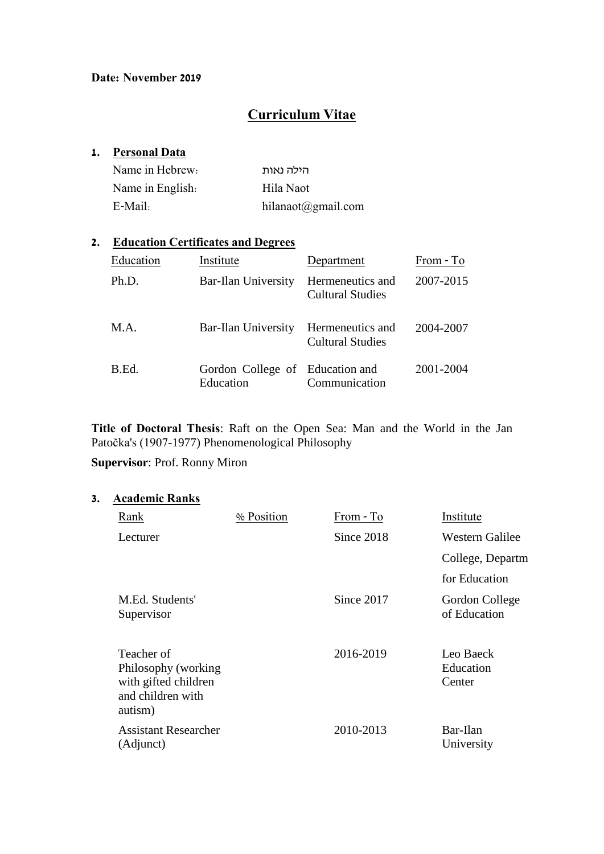# **Curriculum Vitae**

#### **1. Personal Data**

| Name in Hebrew:  | הילה נאות          |
|------------------|--------------------|
| Name in English. | Hila Naot          |
| $E-Mail:$        | hilanaot@gmail.com |

## **2. Education Certificates and Degrees**

| Education | Institute                                    | Department                                  | From - To |
|-----------|----------------------------------------------|---------------------------------------------|-----------|
| Ph.D.     | <b>Bar-Ilan University</b>                   | Hermeneutics and<br><b>Cultural Studies</b> | 2007-2015 |
| M.A.      | Bar-Ilan University                          | Hermeneutics and<br><b>Cultural Studies</b> | 2004-2007 |
| B.Ed.     | Gordon College of Education and<br>Education | Communication                               | 2001-2004 |

**Title of Doctoral Thesis**: Raft on the Open Sea: Man and the World in the Jan Patočka's (1907-1977) Phenomenological Philosophy

# **Supervisor**: Prof. Ronny Miron

## **3. Academic Ranks**

| Rank                                                                                      | % Position | From - To  | Institute                        |
|-------------------------------------------------------------------------------------------|------------|------------|----------------------------------|
| Lecturer                                                                                  |            | Since 2018 | <b>Western Galilee</b>           |
|                                                                                           |            |            | College, Departm                 |
|                                                                                           |            |            | for Education                    |
| M.Ed. Students'<br>Supervisor                                                             |            | Since 2017 | Gordon College<br>of Education   |
| Teacher of<br>Philosophy (working<br>with gifted children<br>and children with<br>autism) |            | 2016-2019  | Leo Baeck<br>Education<br>Center |
| <b>Assistant Researcher</b><br>(Adjunct)                                                  |            | 2010-2013  | Bar-Ilan<br>University           |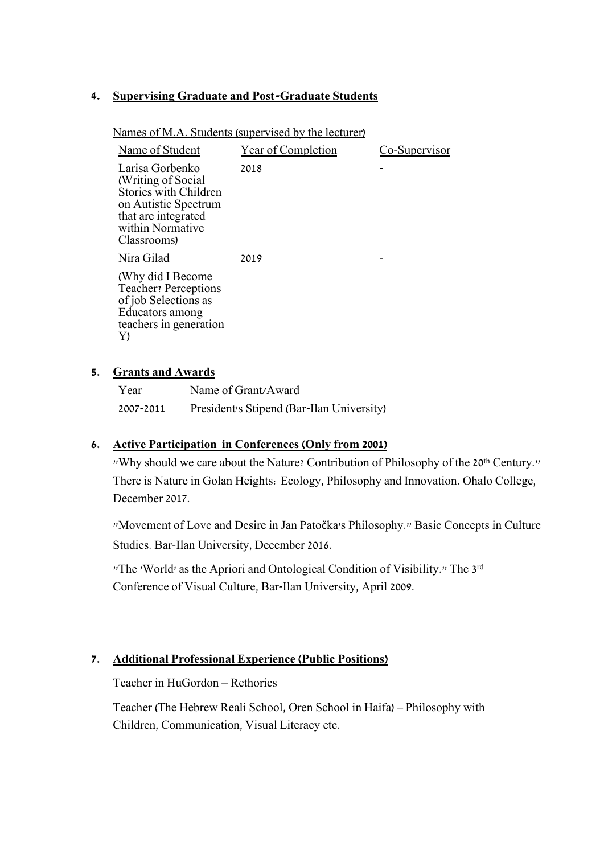#### **4. Supervising Graduate and Post-Graduate Students**

Names of M.A. Students (supervised by the lecturer)

| Name of Student                                                                                                                                          | Year of Completion | Co-Supervisor |
|----------------------------------------------------------------------------------------------------------------------------------------------------------|--------------------|---------------|
| Larisa Gorbenko<br>(Writing of Social)<br><b>Stories with Children</b><br>on Autistic Spectrum<br>that are integrated<br>within Normative<br>Classrooms) | 2018               |               |
| Nira Gilad                                                                                                                                               | 2019               |               |
| (Why did I Become<br><b>Teacher</b> ? Perceptions<br>of job Selections as<br>Educators among<br>teachers in generation<br>Y)                             |                    |               |

#### **5. Grants and Awards**

| Year      | Name of Grant/Award                       |
|-----------|-------------------------------------------|
| 2007-2011 | President's Stipend (Bar-Ilan University) |

#### **6. Active Participation in Conferences (Only from 2001)**

"Why should we care about the Nature? Contribution of Philosophy of the 20th Century." There is Nature in Golan Heights: Ecology, Philosophy and Innovation. Ohalo College, December 2017.

"Movement of Love and Desire in Jan Patočka's Philosophy." Basic Concepts in Culture Studies. Bar-Ilan University, December 2016.

"The 'World' as the Apriori and Ontological Condition of Visibility." The 3rd Conference of Visual Culture, Bar-Ilan University, April 2009.

#### **7. Additional Professional Experience (Public Positions)**

Teacher in HuGordon – Rethorics

Teacher (The Hebrew Reali School, Oren School in Haifa) – Philosophy with Children, Communication, Visual Literacy etc.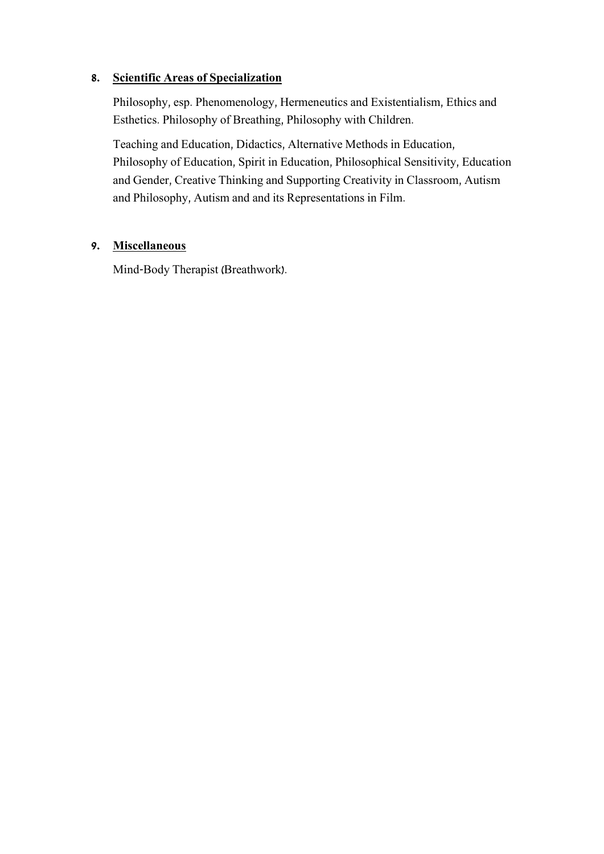## **8. Scientific Areas of Specialization**

Philosophy, esp. Phenomenology, Hermeneutics and Existentialism, Ethics and Esthetics. Philosophy of Breathing, Philosophy with Children.

Teaching and Education, Didactics, Alternative Methods in Education, Philosophy of Education, Spirit in Education, Philosophical Sensitivity, Education and Gender, Creative Thinking and Supporting Creativity in Classroom, Autism and Philosophy, Autism and and its Representations in Film.

## **9. Miscellaneous**

Mind-Body Therapist (Breathwork).